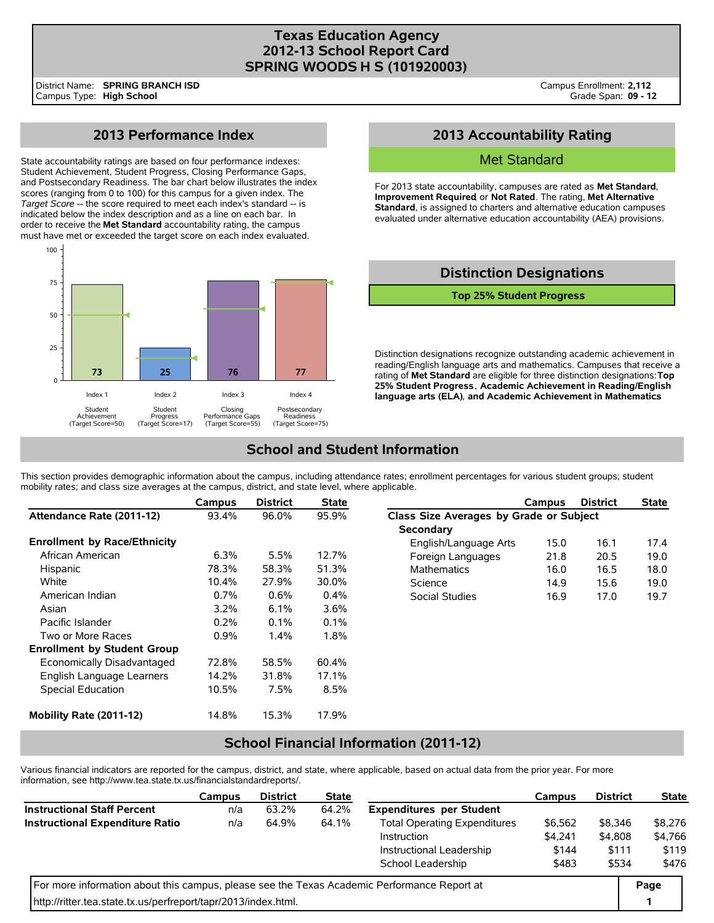### **Texas Education Agency 2012-13 School Report Card SPRING WOODS H S (101920003)**

## **2013 Performance Index**

State accountability ratings are based on four performance indexes: Student Achievement, Student Progress, Closing Performance Gaps, and Postsecondary Readiness. The bar chart below illustrates the index scores (ranging from 0 to 100) for this campus for a given index. The *Target Score* -- the score required to meet each index's standard -- is indicated below the index description and as a line on each bar. In order to receive the **Met Standard** accountability rating, the campus must have met or exceeded the target score on each index evaluated.



## **2013 Accountability Rating**

### Met Standard

For 2013 state accountability, campuses are rated as **Met Standard**, **Improvement Required**, or **Not Rated**. The rating, **Met Alternative Standard**, is assigned to charters and alternative education campuses evaluated under alternative education accountability (AEA) provisions.

# **Distinction Designations**

**Top 25% Student Progress**

Distinction designations recognize outstanding academic achievement in reading/English language arts and mathematics. Campuses that receive a rating of **Met Standard** are eligible for three distinction designations: **Top 25% Student Progress**, **Academic Achievement in Reading/English language arts (ELA)**, **and Academic Achievement in Mathematics**.

## **School and Student Information**

This section provides demographic information about the campus, including attendance rates; enrollment percentages for various student groups; student mobility rates; and class size averages at the campus, district, and state level, where applicable.

|                                     | Campus  | <b>District</b> | <b>State</b> |                                         | Campus | <b>District</b> | <b>State</b> |  |  |
|-------------------------------------|---------|-----------------|--------------|-----------------------------------------|--------|-----------------|--------------|--|--|
| Attendance Rate (2011-12)           | 93.4%   | 96.0%           | 95.9%        | Class Size Averages by Grade or Subject |        |                 |              |  |  |
|                                     |         |                 |              | Secondary                               |        |                 |              |  |  |
| <b>Enrollment by Race/Ethnicity</b> |         |                 |              | English/Language Arts                   | 15.0   | 16.1            | 17.4         |  |  |
| African American                    | 6.3%    | 5.5%            | 12.7%        | Foreign Languages                       | 21.8   | 20.5            | 19.0         |  |  |
| Hispanic                            | 78.3%   | 58.3%           | 51.3%        | <b>Mathematics</b>                      | 16.0   | 16.5            | 18.0         |  |  |
| White                               | 10.4%   | 27.9%           | 30.0%        | Science                                 | 14.9   | 15.6            | 19.0         |  |  |
| American Indian                     | $0.7\%$ | 0.6%            | $0.4\%$      | Social Studies                          | 16.9   | 17.0            | 19.7         |  |  |
| Asian                               | 3.2%    | 6.1%            | 3.6%         |                                         |        |                 |              |  |  |
| Pacific Islander                    | 0.2%    | 0.1%            | 0.1%         |                                         |        |                 |              |  |  |
| Two or More Races                   | 0.9%    | 1.4%            | 1.8%         |                                         |        |                 |              |  |  |
| <b>Enrollment by Student Group</b>  |         |                 |              |                                         |        |                 |              |  |  |
| Economically Disadvantaged          | 72.8%   | 58.5%           | 60.4%        |                                         |        |                 |              |  |  |
| English Language Learners           | 14.2%   | 31.8%           | 17.1%        |                                         |        |                 |              |  |  |
| Special Education                   | 10.5%   | 7.5%            | 8.5%         |                                         |        |                 |              |  |  |
| Mobility Rate (2011-12)             | 14.8%   | 15.3%           | 17.9%        |                                         |        |                 |              |  |  |

## **School Financial Information (2011-12)**

Various financial indicators are reported for the campus, district, and state, where applicable, based on actual data from the prior year. For more information, see http://www.tea.state.tx.us/financialstandardreports/.

|                                                                                             | Campus | <b>District</b> | <b>State</b> |                                     | Campus  | <b>District</b> | <b>State</b>   |
|---------------------------------------------------------------------------------------------|--------|-----------------|--------------|-------------------------------------|---------|-----------------|----------------|
| <b>Instructional Staff Percent</b>                                                          | n/a    | 63.2%           | 64.2%        | <b>Expenditures per Student</b>     |         |                 |                |
| <b>Instructional Expenditure Ratio</b>                                                      | n/a    | 64.9%           | 64.1%        | <b>Total Operating Expenditures</b> | \$6,562 | \$8,346         | \$8,276        |
|                                                                                             |        |                 |              | Instruction                         | \$4.241 | \$4,808         | \$4,766        |
|                                                                                             |        |                 |              | Instructional Leadership            | \$144   | \$111           | \$119<br>\$476 |
|                                                                                             |        |                 |              | School Leadership                   | \$483   | \$534           |                |
| For more information about this campus, please see the Texas Academic Performance Report at |        |                 |              |                                     |         |                 |                |
| http://ritter.tea.state.tx.us/perfreport/tapr/2013/index.html.                              |        |                 |              |                                     |         |                 |                |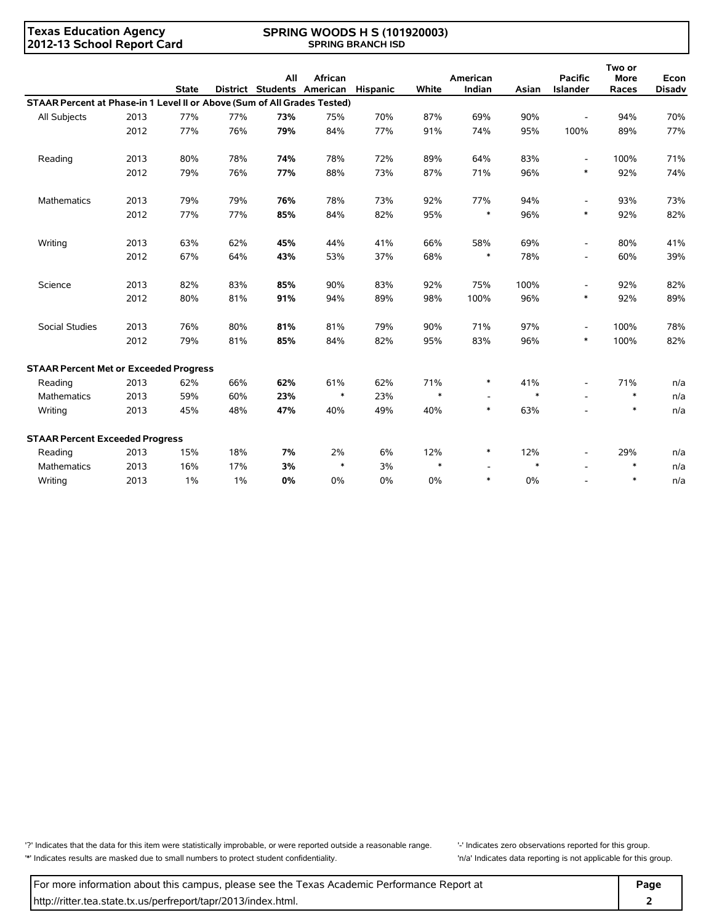### **Texas Education Agency 2012-13 School Report Card**

#### **SPRING WOODS H S (101920003) SPRING BRANCH ISD**

|                                                                          |      | <b>State</b> |       | All | African<br>District Students American Hispanic |     | White  | American<br>Indian       | Asian  | <b>Pacific</b><br><b>Islander</b> | Two or<br><b>More</b><br>Races | Econ<br><b>Disadv</b> |
|--------------------------------------------------------------------------|------|--------------|-------|-----|------------------------------------------------|-----|--------|--------------------------|--------|-----------------------------------|--------------------------------|-----------------------|
| STAAR Percent at Phase-in 1 Level II or Above (Sum of All Grades Tested) |      |              |       |     |                                                |     |        |                          |        |                                   |                                |                       |
| All Subjects                                                             | 2013 | 77%          | 77%   | 73% | 75%                                            | 70% | 87%    | 69%                      | 90%    |                                   | 94%                            | 70%                   |
|                                                                          | 2012 | 77%          | 76%   | 79% | 84%                                            | 77% | 91%    | 74%                      | 95%    | 100%                              | 89%                            | 77%                   |
|                                                                          |      |              |       |     |                                                |     |        |                          |        |                                   |                                |                       |
| Reading                                                                  | 2013 | 80%          | 78%   | 74% | 78%                                            | 72% | 89%    | 64%                      | 83%    | $\overline{\phantom{a}}$          | 100%                           | 71%                   |
|                                                                          | 2012 | 79%          | 76%   | 77% | 88%                                            | 73% | 87%    | 71%                      | 96%    | $\ast$                            | 92%                            | 74%                   |
| Mathematics                                                              | 2013 | 79%          | 79%   | 76% | 78%                                            | 73% | 92%    | 77%                      | 94%    | $\overline{\phantom{a}}$          | 93%                            | 73%                   |
|                                                                          | 2012 | 77%          | 77%   | 85% | 84%                                            | 82% | 95%    | $\ast$                   | 96%    | $\ast$                            | 92%                            | 82%                   |
| Writing                                                                  | 2013 | 63%          | 62%   | 45% | 44%                                            | 41% | 66%    | 58%                      | 69%    | $\overline{\phantom{a}}$          | 80%                            | 41%                   |
|                                                                          | 2012 | 67%          | 64%   | 43% | 53%                                            | 37% | 68%    | $\ast$                   | 78%    | $\overline{\phantom{a}}$          | 60%                            | 39%                   |
| Science                                                                  | 2013 | 82%          | 83%   | 85% | 90%                                            | 83% | 92%    | 75%                      | 100%   | $\overline{\phantom{a}}$          | 92%                            | 82%                   |
|                                                                          | 2012 | 80%          | 81%   | 91% | 94%                                            | 89% | 98%    | 100%                     | 96%    | $\ast$                            | 92%                            | 89%                   |
| Social Studies                                                           | 2013 | 76%          | 80%   | 81% | 81%                                            | 79% | 90%    | 71%                      | 97%    | $\overline{\phantom{a}}$          | 100%                           | 78%                   |
|                                                                          | 2012 | 79%          | 81%   | 85% | 84%                                            | 82% | 95%    | 83%                      | 96%    | $\ast$                            | 100%                           | 82%                   |
| <b>STAAR Percent Met or Exceeded Progress</b>                            |      |              |       |     |                                                |     |        |                          |        |                                   |                                |                       |
| Reading                                                                  | 2013 | 62%          | 66%   | 62% | 61%                                            | 62% | 71%    | $\ast$                   | 41%    | $\overline{\phantom{a}}$          | 71%                            | n/a                   |
| <b>Mathematics</b>                                                       | 2013 | 59%          | 60%   | 23% | $\ast$                                         | 23% | $\ast$ |                          | $\ast$ |                                   | $\ast$                         | n/a                   |
| Writing                                                                  | 2013 | 45%          | 48%   | 47% | 40%                                            | 49% | 40%    | $\ast$                   | 63%    |                                   | $\ast$                         | n/a                   |
| <b>STAAR Percent Exceeded Progress</b>                                   |      |              |       |     |                                                |     |        |                          |        |                                   |                                |                       |
| Reading                                                                  | 2013 | 15%          | 18%   | 7%  | 2%                                             | 6%  | 12%    | $\ast$                   | 12%    | $\overline{\phantom{a}}$          | 29%                            | n/a                   |
| <b>Mathematics</b>                                                       | 2013 | 16%          | 17%   | 3%  | $\ast$                                         | 3%  | $\ast$ | $\overline{\phantom{a}}$ | $\ast$ |                                   | $\ast$                         | n/a                   |
| Writing                                                                  | 2013 | 1%           | $1\%$ | 0%  | 0%                                             | 0%  | 0%     | $\ast$                   | 0%     |                                   | $\ast$                         | n/a                   |

'?' Indicates that the data for this item were statistically improbable, or were reported outside a reasonable range. '' Indicates zero observations reported for this group. '\*' Indicates results are masked due to small numbers to protect student confidentiality. 'n/a' Indicates data reporting is not applicable for this group.

For more information about this campus, please see the Texas Academic Performance Report at **Page Page** http://ritter.tea.state.tx.us/perfreport/tapr/2013/index.html. **2**